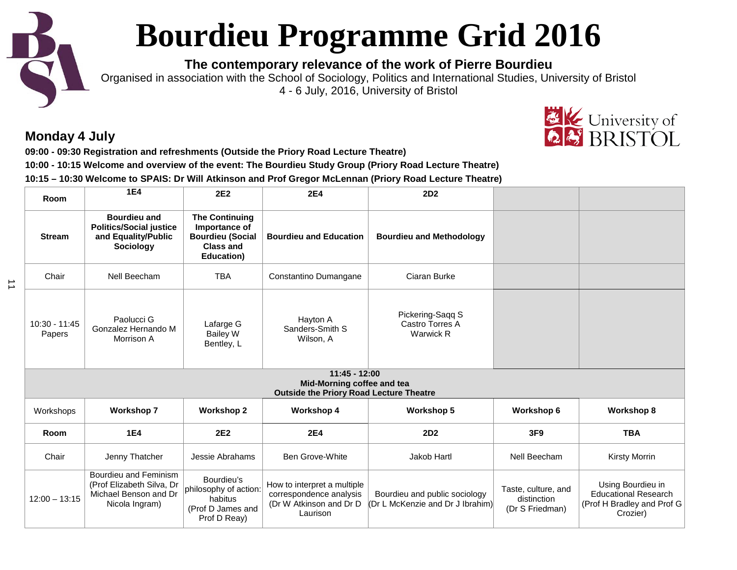# **Bourdieu Programme Grid 2016**

**The contemporary relevance of the work of Pierre Bourdieu**

Organised in association with the School of Sociology, Politics and International Studies, University of Bristol 4 - 6 July, 2016, University of Bristol

# **Monday 4 July**

 $\vec{\mathbf{u}}$ 

**09:00 - 09:30 Registration and refreshments (Outside the Priory Road Lecture Theatre) 10:00 - 10:15 Welcome and overview of the event: The Bourdieu Study Group (Priory Road Lecture Theatre) 10:15 – 10:30 Welcome to SPAIS: Dr Will Atkinson and Prof Gregor McLennan (Priory Road Lecture Theatre)**

| Room                      | <b>1E4</b>                                                                                    | 2E <sub>2</sub>                                                                                             | <b>2E4</b>                                                                                      | 2D <sub>2</sub>                                                   |                                                       |                                                                                            |
|---------------------------|-----------------------------------------------------------------------------------------------|-------------------------------------------------------------------------------------------------------------|-------------------------------------------------------------------------------------------------|-------------------------------------------------------------------|-------------------------------------------------------|--------------------------------------------------------------------------------------------|
| <b>Stream</b>             | <b>Bourdieu and</b><br><b>Politics/Social justice</b><br>and Equality/Public<br>Sociology     | <b>The Continuing</b><br>Importance of<br><b>Bourdieu (Social</b><br><b>Class and</b><br><b>Education</b> ) | <b>Bourdieu and Education</b>                                                                   | <b>Bourdieu and Methodology</b>                                   |                                                       |                                                                                            |
| Chair                     | Nell Beecham                                                                                  | <b>TBA</b>                                                                                                  | Constantino Dumangane                                                                           | Ciaran Burke                                                      |                                                       |                                                                                            |
| $10:30 - 11:45$<br>Papers | Paolucci G<br>Gonzalez Hernando M<br>Morrison A                                               | Lafarge G<br><b>Bailey W</b><br>Bentley, L                                                                  | Hayton A<br>Sanders-Smith S<br>Wilson, A                                                        | Pickering-Saqq S<br>Castro Torres A<br><b>Warwick R</b>           |                                                       |                                                                                            |
|                           |                                                                                               |                                                                                                             | $11:45 - 12:00$<br>Mid-Morning coffee and tea<br><b>Outside the Priory Road Lecture Theatre</b> |                                                                   |                                                       |                                                                                            |
| Workshops                 | <b>Workshop 7</b>                                                                             | <b>Workshop 2</b>                                                                                           | <b>Workshop 4</b>                                                                               | <b>Workshop 5</b>                                                 | Workshop 6                                            | <b>Workshop 8</b>                                                                          |
| Room                      | <b>1E4</b>                                                                                    | 2E <sub>2</sub>                                                                                             | <b>2E4</b>                                                                                      | 2D <sub>2</sub>                                                   | 3F9                                                   | <b>TBA</b>                                                                                 |
| Chair                     | Jenny Thatcher                                                                                | Jessie Abrahams                                                                                             | Ben Grove-White                                                                                 | Jakob Hartl                                                       | Nell Beecham                                          | <b>Kirsty Morrin</b>                                                                       |
| $12:00 - 13:15$           | Bourdieu and Feminism<br>(Prof Elizabeth Silva, Dr<br>Michael Benson and Dr<br>Nicola Ingram) | Bourdieu's<br>philosophy of action:<br>habitus<br>(Prof D James and<br>Prof D Reay)                         | How to interpret a multiple<br>correspondence analysis<br>(Dr W Atkinson and Dr D<br>Laurison   | Bourdieu and public sociology<br>(Dr L McKenzie and Dr J Ibrahim) | Taste, culture, and<br>distinction<br>(Dr S Friedman) | Using Bourdieu in<br><b>Educational Research</b><br>(Prof H Bradley and Prof G<br>Crozier) |

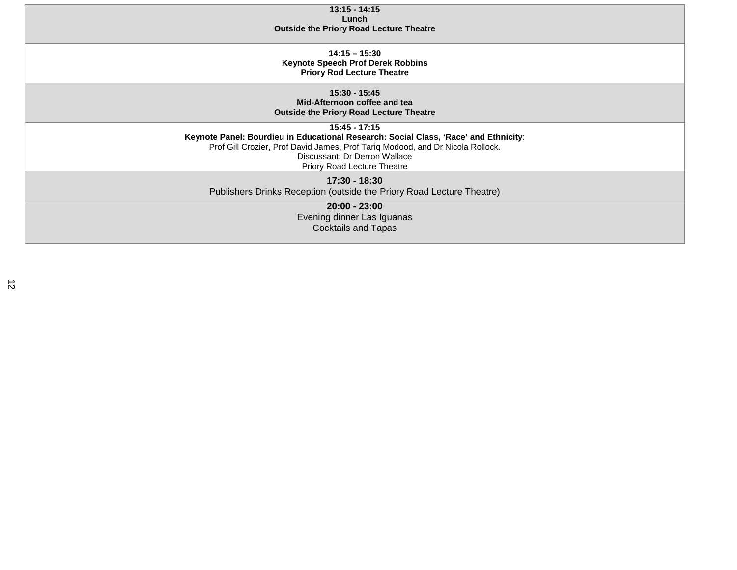| $13:15 - 14:15$                                                                      |
|--------------------------------------------------------------------------------------|
| Lunch                                                                                |
| <b>Outside the Priory Road Lecture Theatre</b>                                       |
|                                                                                      |
|                                                                                      |
| $14:15 - 15:30$                                                                      |
| <b>Keynote Speech Prof Derek Robbins</b>                                             |
| <b>Priory Rod Lecture Theatre</b>                                                    |
|                                                                                      |
| $15:30 - 15:45$                                                                      |
| Mid-Afternoon coffee and tea                                                         |
|                                                                                      |
| <b>Outside the Priory Road Lecture Theatre</b>                                       |
| $15:45 - 17:15$                                                                      |
| Keynote Panel: Bourdieu in Educational Research: Social Class, 'Race' and Ethnicity: |
| Prof Gill Crozier, Prof David James, Prof Tariq Modood, and Dr Nicola Rollock.       |
| Discussant: Dr Derron Wallace                                                        |
|                                                                                      |
| Priory Road Lecture Theatre                                                          |
| 17:30 - 18:30                                                                        |
| Publishers Drinks Reception (outside the Priory Road Lecture Theatre)                |
|                                                                                      |
| $20:00 - 23:00$                                                                      |
| Evening dinner Las Iguanas                                                           |
| <b>Cocktails and Tapas</b>                                                           |
|                                                                                      |
|                                                                                      |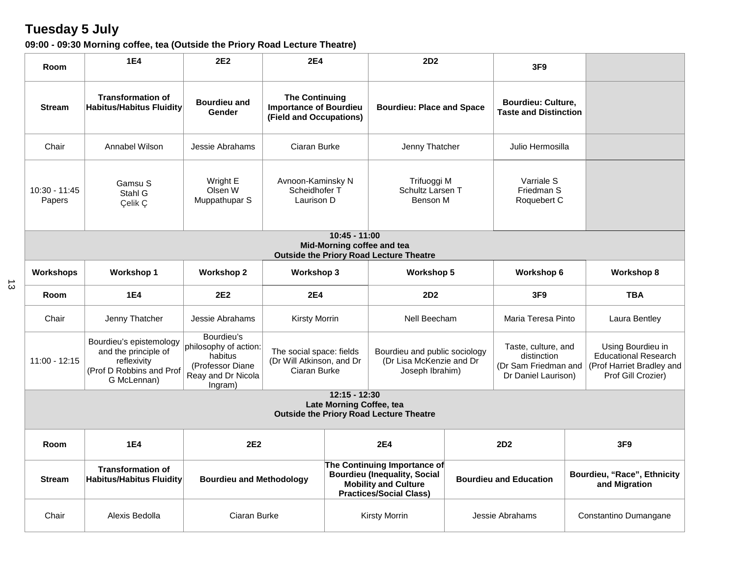# **Tuesday 5 July**

| 09:00 - 09:30 Morning coffee, tea (Outside the Priory Road Lecture Theatre) |  |  |
|-----------------------------------------------------------------------------|--|--|
|-----------------------------------------------------------------------------|--|--|

| Room                                                                                            | <b>1E4</b>                                                                                                | 2E <sub>2</sub>                                                                                     | <b>2E4</b>                                                                        |  | 2D <sub>2</sub>                                                                                                                      |  | 3F <sub>9</sub>                                                                   |  |                                                                                                     |
|-------------------------------------------------------------------------------------------------|-----------------------------------------------------------------------------------------------------------|-----------------------------------------------------------------------------------------------------|-----------------------------------------------------------------------------------|--|--------------------------------------------------------------------------------------------------------------------------------------|--|-----------------------------------------------------------------------------------|--|-----------------------------------------------------------------------------------------------------|
| <b>Stream</b>                                                                                   | <b>Transformation of</b><br><b>Habitus/Habitus Fluidity</b>                                               | <b>Bourdieu and</b><br>Gender                                                                       | <b>The Continuing</b><br><b>Importance of Bourdieu</b><br>(Field and Occupations) |  | <b>Bourdieu: Place and Space</b>                                                                                                     |  | <b>Bourdieu: Culture,</b><br><b>Taste and Distinction</b>                         |  |                                                                                                     |
| Chair                                                                                           | Annabel Wilson                                                                                            | Jessie Abrahams                                                                                     | Ciaran Burke                                                                      |  | Jenny Thatcher                                                                                                                       |  | Julio Hermosilla                                                                  |  |                                                                                                     |
| 10:30 - 11:45<br>Papers                                                                         | Gamsu S<br>Stahl G<br>Çelik Ç                                                                             | Wright E<br>Olsen W<br>Muppathupar S                                                                | Avnoon-Kaminsky N<br>Scheidhofer T<br>Laurison D                                  |  | Trifuoggi M<br>Schultz Larsen T<br>Benson M                                                                                          |  | Varriale S<br>Friedman S<br>Roquebert C                                           |  |                                                                                                     |
| $10:45 - 11:00$<br>Mid-Morning coffee and tea<br><b>Outside the Priory Road Lecture Theatre</b> |                                                                                                           |                                                                                                     |                                                                                   |  |                                                                                                                                      |  |                                                                                   |  |                                                                                                     |
| <b>Workshops</b>                                                                                | <b>Workshop 1</b>                                                                                         | <b>Workshop 2</b>                                                                                   | <b>Workshop 3</b>                                                                 |  | <b>Workshop 5</b>                                                                                                                    |  | Workshop 6                                                                        |  | <b>Workshop 8</b>                                                                                   |
| Room                                                                                            | <b>1E4</b>                                                                                                | 2E <sub>2</sub>                                                                                     | <b>2E4</b>                                                                        |  | 2D <sub>2</sub>                                                                                                                      |  | 3F9                                                                               |  | <b>TBA</b>                                                                                          |
| Chair                                                                                           | Jenny Thatcher                                                                                            | Jessie Abrahams                                                                                     | <b>Kirsty Morrin</b>                                                              |  | Nell Beecham                                                                                                                         |  | Maria Teresa Pinto                                                                |  | Laura Bentley                                                                                       |
| $11:00 - 12:15$                                                                                 | Bourdieu's epistemology<br>and the principle of<br>reflexivity<br>(Prof D Robbins and Prof<br>G McLennan) | Bourdieu's<br>philosophy of action:<br>habitus<br>(Professor Diane<br>Reay and Dr Nicola<br>Ingram) | The social space: fields<br>(Dr Will Atkinson, and Dr<br>Ciaran Burke             |  | Bourdieu and public sociology<br>(Dr Lisa McKenzie and Dr<br>Joseph Ibrahim)                                                         |  | Taste, culture, and<br>distinction<br>(Dr Sam Friedman and<br>Dr Daniel Laurison) |  | Using Bourdieu in<br><b>Educational Research</b><br>(Prof Harriet Bradley and<br>Prof Gill Crozier) |
| $12:15 - 12:30$<br>Late Morning Coffee, tea<br><b>Outside the Priory Road Lecture Theatre</b>   |                                                                                                           |                                                                                                     |                                                                                   |  |                                                                                                                                      |  |                                                                                   |  |                                                                                                     |
| Room                                                                                            | <b>1E4</b>                                                                                                | 2E <sub>2</sub>                                                                                     |                                                                                   |  | <b>2E4</b>                                                                                                                           |  | 2D <sub>2</sub>                                                                   |  | 3F <sub>9</sub>                                                                                     |
| <b>Stream</b>                                                                                   | <b>Transformation of</b><br><b>Habitus/Habitus Fluidity</b>                                               | <b>Bourdieu and Methodology</b>                                                                     |                                                                                   |  | The Continuing Importance of<br><b>Bourdieu (Inequality, Social</b><br><b>Mobility and Culture</b><br><b>Practices/Social Class)</b> |  | <b>Bourdieu and Education</b>                                                     |  | Bourdieu, "Race", Ethnicity<br>and Migration                                                        |
| Chair                                                                                           | Alexis Bedolla                                                                                            | Ciaran Burke                                                                                        |                                                                                   |  | <b>Kirsty Morrin</b>                                                                                                                 |  | Jessie Abrahams                                                                   |  | Constantino Dumangane                                                                               |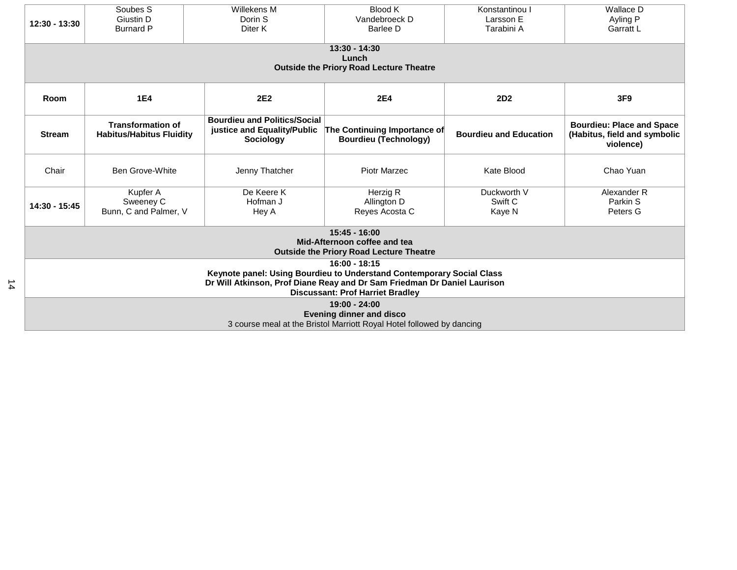| 12:30 - 13:30                                                                                                                                                                                                   | Soubes S<br>Giustin D<br><b>Burnard P</b>                                                                                                                                                                 | Willekens M<br>Dorin S<br>Diter K                                                      | <b>Blood K</b><br>Vandebroeck D<br>Barlee D                  | Konstantinou I<br>Larsson E<br>Tarabini A | Wallace D<br>Ayling P<br>Garratt L                                            |  |  |  |
|-----------------------------------------------------------------------------------------------------------------------------------------------------------------------------------------------------------------|-----------------------------------------------------------------------------------------------------------------------------------------------------------------------------------------------------------|----------------------------------------------------------------------------------------|--------------------------------------------------------------|-------------------------------------------|-------------------------------------------------------------------------------|--|--|--|
| $13:30 - 14:30$<br>Lunch<br><b>Outside the Priory Road Lecture Theatre</b>                                                                                                                                      |                                                                                                                                                                                                           |                                                                                        |                                                              |                                           |                                                                               |  |  |  |
| Room                                                                                                                                                                                                            | <b>1E4</b>                                                                                                                                                                                                | 2E <sub>2</sub>                                                                        | <b>2E4</b>                                                   | 2D <sub>2</sub>                           | 3F9                                                                           |  |  |  |
| <b>Stream</b>                                                                                                                                                                                                   | <b>Transformation of</b><br><b>Habitus/Habitus Fluidity</b>                                                                                                                                               | <b>Bourdieu and Politics/Social</b><br>justice and Equality/Public<br><b>Sociology</b> | The Continuing Importance of<br><b>Bourdieu (Technology)</b> | <b>Bourdieu and Education</b>             | <b>Bourdieu: Place and Space</b><br>(Habitus, field and symbolic<br>violence) |  |  |  |
| Chair                                                                                                                                                                                                           | <b>Ben Grove-White</b>                                                                                                                                                                                    | Jenny Thatcher                                                                         | <b>Piotr Marzec</b>                                          | Kate Blood                                | Chao Yuan                                                                     |  |  |  |
| 14:30 - 15:45                                                                                                                                                                                                   | De Keere K<br>Herzig R<br>Duckworth V<br>Alexander R<br>Kupfer A<br>Sweeney C<br>Hofman J<br>Allington D<br>Swift C<br>Parkin S<br>Bunn, C and Palmer, V<br>Reyes Acosta C<br>Peters G<br>Kaye N<br>Hey A |                                                                                        |                                                              |                                           |                                                                               |  |  |  |
| $15:45 - 16:00$<br>Mid-Afternoon coffee and tea<br><b>Outside the Priory Road Lecture Theatre</b>                                                                                                               |                                                                                                                                                                                                           |                                                                                        |                                                              |                                           |                                                                               |  |  |  |
| $16:00 - 18:15$<br>Keynote panel: Using Bourdieu to Understand Contemporary Social Class<br>Dr Will Atkinson, Prof Diane Reay and Dr Sam Friedman Dr Daniel Laurison<br><b>Discussant: Prof Harriet Bradley</b> |                                                                                                                                                                                                           |                                                                                        |                                                              |                                           |                                                                               |  |  |  |
| $19:00 - 24:00$<br><b>Evening dinner and disco</b><br>3 course meal at the Bristol Marriott Royal Hotel followed by dancing                                                                                     |                                                                                                                                                                                                           |                                                                                        |                                                              |                                           |                                                                               |  |  |  |

14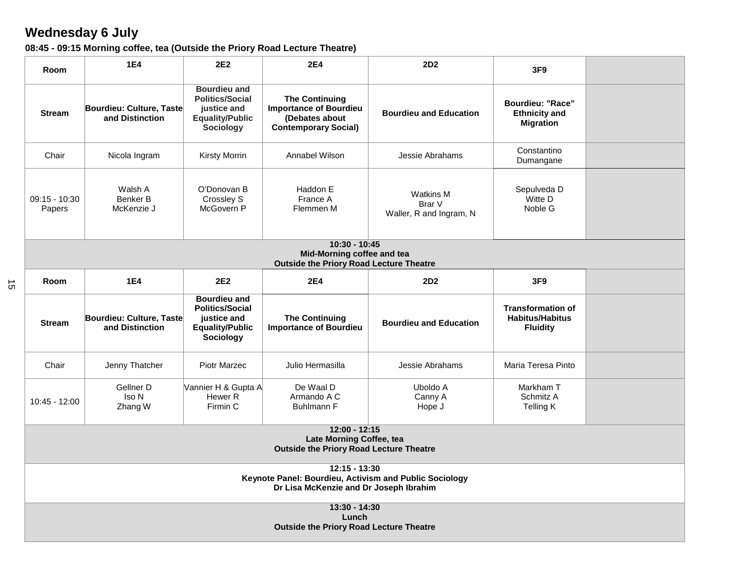# **Wednesday 6 July**

15

| 08:45 - 09:15 Morning coffee, tea (Outside the Priory Road Lecture Theatre) |
|-----------------------------------------------------------------------------|
|-----------------------------------------------------------------------------|

| Room                                                                                                                | <b>1E4</b>                                                                                                                                                                                                                                                                                                             | 2E <sub>2</sub>                                                                                            | <b>2E4</b>                                                                                              | 2D <sub>2</sub>                                | 3F9                                                                 |  |  |  |  |
|---------------------------------------------------------------------------------------------------------------------|------------------------------------------------------------------------------------------------------------------------------------------------------------------------------------------------------------------------------------------------------------------------------------------------------------------------|------------------------------------------------------------------------------------------------------------|---------------------------------------------------------------------------------------------------------|------------------------------------------------|---------------------------------------------------------------------|--|--|--|--|
| <b>Stream</b>                                                                                                       | Bourdieu: Culture, Taste<br>and Distinction                                                                                                                                                                                                                                                                            | <b>Bourdieu and</b><br><b>Politics/Social</b><br>justice and<br><b>Equality/Public</b><br><b>Sociology</b> | <b>The Continuing</b><br><b>Importance of Bourdieu</b><br>(Debates about<br><b>Contemporary Social)</b> | <b>Bourdieu and Education</b>                  | <b>Bourdieu: "Race"</b><br><b>Ethnicity and</b><br><b>Migration</b> |  |  |  |  |
| Chair                                                                                                               | Nicola Ingram                                                                                                                                                                                                                                                                                                          | <b>Kirsty Morrin</b>                                                                                       | Annabel Wilson                                                                                          | Jessie Abrahams                                | Constantino<br>Dumangane                                            |  |  |  |  |
| $09:15 - 10:30$<br>Papers                                                                                           | Walsh A<br>Benker B<br>McKenzie J                                                                                                                                                                                                                                                                                      | O'Donovan B<br>Crossley S<br>McGovern P                                                                    | Haddon E<br>France A<br>Flemmen M                                                                       | Watkins M<br>Brar V<br>Waller, R and Ingram, N | Sepulveda D<br>Witte D<br>Noble G                                   |  |  |  |  |
|                                                                                                                     | $10:30 - 10:45$<br>Mid-Morning coffee and tea<br><b>Outside the Priory Road Lecture Theatre</b>                                                                                                                                                                                                                        |                                                                                                            |                                                                                                         |                                                |                                                                     |  |  |  |  |
| Room                                                                                                                | 2E <sub>2</sub><br><b>2E4</b><br>3F9<br><b>1E4</b><br><b>2D2</b>                                                                                                                                                                                                                                                       |                                                                                                            |                                                                                                         |                                                |                                                                     |  |  |  |  |
| <b>Stream</b>                                                                                                       | <b>Bourdieu and</b><br><b>Politics/Social</b><br><b>Transformation of</b><br><b>Habitus/Habitus</b><br>Bourdieu: Culture, Taste<br><b>The Continuing</b><br>justice and<br><b>Bourdieu and Education</b><br>and Distinction<br><b>Equality/Public</b><br><b>Importance of Bourdieu</b><br><b>Fluidity</b><br>Sociology |                                                                                                            |                                                                                                         |                                                |                                                                     |  |  |  |  |
| Chair                                                                                                               | Jenny Thatcher                                                                                                                                                                                                                                                                                                         | <b>Piotr Marzec</b>                                                                                        | Julio Hermasilla                                                                                        | Jessie Abrahams                                | Maria Teresa Pinto                                                  |  |  |  |  |
| 10:45 - 12:00                                                                                                       | Gellner D<br>Iso N<br>Zhang W                                                                                                                                                                                                                                                                                          | Vannier H & Gupta A<br>Hewer <sub>R</sub><br>Firmin C                                                      | De Waal D<br>Armando A C<br><b>Buhlmann F</b>                                                           | Uboldo A<br>Canny A<br>Hope J                  | Markham T<br>Schmitz A<br>Telling K                                 |  |  |  |  |
| 12:00 - 12:15<br>Late Morning Coffee, tea<br><b>Outside the Priory Road Lecture Theatre</b>                         |                                                                                                                                                                                                                                                                                                                        |                                                                                                            |                                                                                                         |                                                |                                                                     |  |  |  |  |
| $12:15 - 13:30$<br>Keynote Panel: Bourdieu, Activism and Public Sociology<br>Dr Lisa McKenzie and Dr Joseph Ibrahim |                                                                                                                                                                                                                                                                                                                        |                                                                                                            |                                                                                                         |                                                |                                                                     |  |  |  |  |
| 13:30 - 14:30<br>Lunch<br><b>Outside the Priory Road Lecture Theatre</b>                                            |                                                                                                                                                                                                                                                                                                                        |                                                                                                            |                                                                                                         |                                                |                                                                     |  |  |  |  |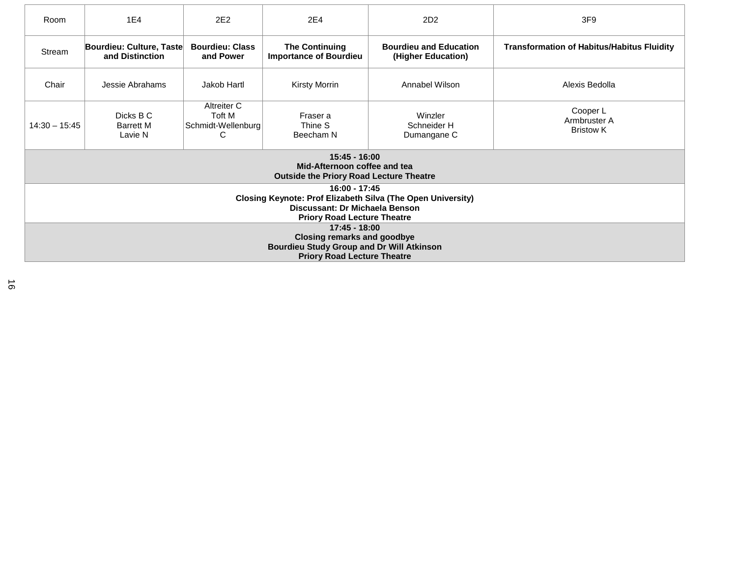| Room                                                                                                                                                 | 1E4                                                                                                                                                                                                                                                      | 2E <sub>2</sub>                                  | 2E4                                                                                               | 2D <sub>2</sub>                       | 3F <sub>9</sub>                              |  |  |  |
|------------------------------------------------------------------------------------------------------------------------------------------------------|----------------------------------------------------------------------------------------------------------------------------------------------------------------------------------------------------------------------------------------------------------|--------------------------------------------------|---------------------------------------------------------------------------------------------------|---------------------------------------|----------------------------------------------|--|--|--|
| Stream                                                                                                                                               | Bourdieu: Culture, Taste<br><b>Bourdieu: Class</b><br><b>The Continuing</b><br><b>Bourdieu and Education</b><br><b>Transformation of Habitus/Habitus Fluidity</b><br>and Distinction<br><b>Importance of Bourdieu</b><br>and Power<br>(Higher Education) |                                                  |                                                                                                   |                                       |                                              |  |  |  |
| Chair                                                                                                                                                | Jakob Hartl<br>Alexis Bedolla<br>Jessie Abrahams<br><b>Kirsty Morrin</b><br>Annabel Wilson                                                                                                                                                               |                                                  |                                                                                                   |                                       |                                              |  |  |  |
| $14:30 - 15:45$                                                                                                                                      | Dicks B C<br><b>Barrett M</b><br>Lavie N                                                                                                                                                                                                                 | Altreiter C<br>Toft M<br>Schmidt-Wellenburg<br>С | Fraser a<br>Thine S<br>Beecham N                                                                  | Winzler<br>Schneider H<br>Dumangane C | Cooper L<br>Armbruster A<br><b>Bristow K</b> |  |  |  |
|                                                                                                                                                      |                                                                                                                                                                                                                                                          |                                                  | $15:45 - 16:00$<br>Mid-Afternoon coffee and tea<br><b>Outside the Priory Road Lecture Theatre</b> |                                       |                                              |  |  |  |
| 16:00 - 17:45<br>Closing Keynote: Prof Elizabeth Silva (The Open University)<br>Discussant: Dr Michaela Benson<br><b>Priory Road Lecture Theatre</b> |                                                                                                                                                                                                                                                          |                                                  |                                                                                                   |                                       |                                              |  |  |  |
| $17:45 - 18:00$<br><b>Closing remarks and goodbye</b><br><b>Bourdieu Study Group and Dr Will Atkinson</b>                                            |                                                                                                                                                                                                                                                          |                                                  |                                                                                                   |                                       |                                              |  |  |  |
| <b>Priory Road Lecture Theatre</b>                                                                                                                   |                                                                                                                                                                                                                                                          |                                                  |                                                                                                   |                                       |                                              |  |  |  |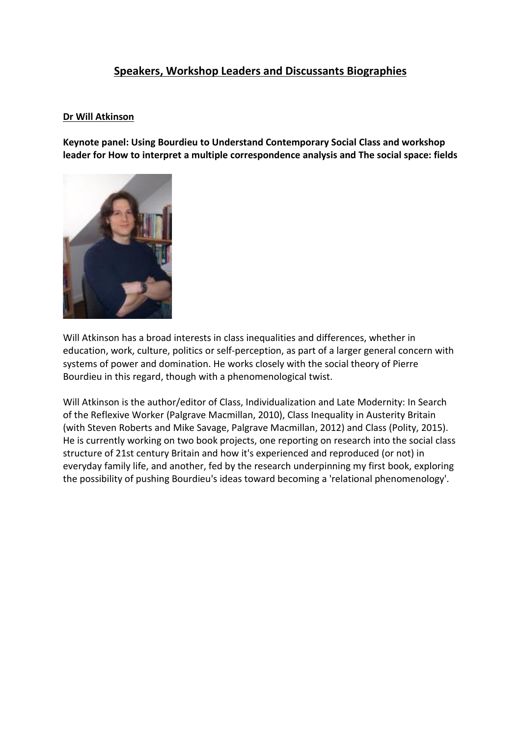## **Speakers, Workshop Leaders and Discussants Biographies**

#### **Dr Will Atkinson**

**Keynote panel: Using Bourdieu to Understand Contemporary Social Class and workshop leader for How to interpret a multiple correspondence analysis and The social space: fields**



Will Atkinson has a broad interests in class inequalities and differences, whether in education, work, culture, politics or self-perception, as part of a larger general concern with systems of power and domination. He works closely with the social theory of Pierre Bourdieu in this regard, though with a phenomenological twist.

Will Atkinson is the author/editor of Class, Individualization and Late Modernity: In Search of the Reflexive Worker (Palgrave Macmillan, 2010), Class Inequality in Austerity Britain (with Steven Roberts and Mike Savage, Palgrave Macmillan, 2012) and Class (Polity, 2015). He is currently working on two book projects, one reporting on research into the social class structure of 21st century Britain and how it's experienced and reproduced (or not) in everyday family life, and another, fed by the research underpinning my first book, exploring the possibility of pushing Bourdieu's ideas toward becoming a 'relational phenomenology'.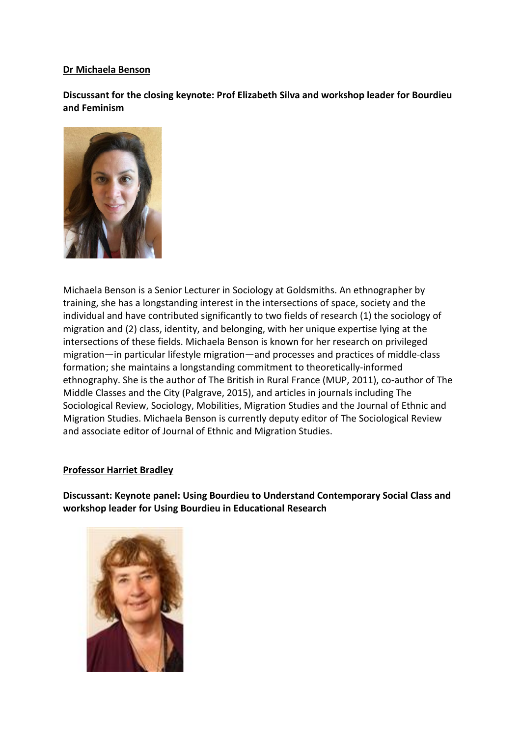#### **Dr Michaela Benson**

**Discussant for the closing keynote: Prof Elizabeth Silva and workshop leader for Bourdieu and Feminism**



Michaela Benson is a Senior Lecturer in Sociology at Goldsmiths. An ethnographer by training, she has a longstanding interest in the intersections of space, society and the individual and have contributed significantly to two fields of research (1) the sociology of migration and (2) class, identity, and belonging, with her unique expertise lying at the intersections of these fields. Michaela Benson is known for her research on privileged migration—in particular lifestyle migration—and processes and practices of middle-class formation; she maintains a longstanding commitment to theoretically-informed ethnography. She is the author of The British in Rural France (MUP, 2011), co-author of The Middle Classes and the City (Palgrave, 2015), and articles in journals including The Sociological Review, Sociology, Mobilities, Migration Studies and the Journal of Ethnic and Migration Studies. Michaela Benson is currently deputy editor of The Sociological Review and associate editor of Journal of Ethnic and Migration Studies.

#### **Professor Harriet Bradley**

**Discussant: Keynote panel: Using Bourdieu to Understand Contemporary Social Class and workshop leader for Using Bourdieu in Educational Research**

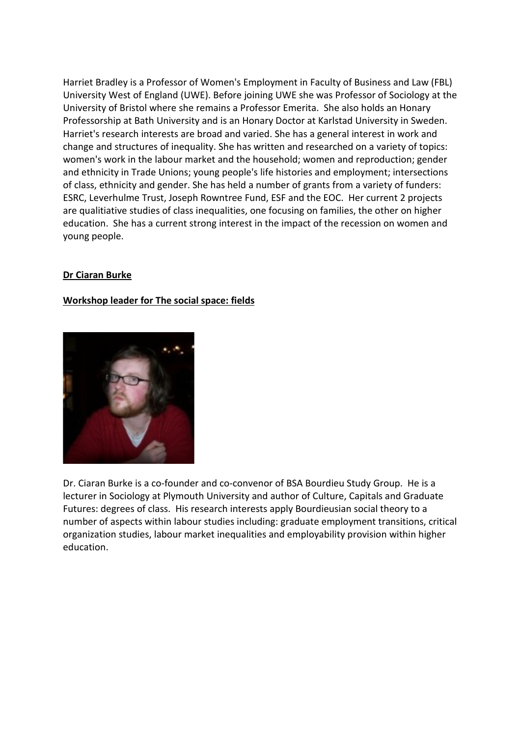Harriet Bradley is a Professor of Women's Employment in Faculty of Business and Law (FBL) University West of England (UWE). Before joining UWE she was Professor of Sociology at the University of Bristol where she remains a Professor Emerita. She also holds an Honary Professorship at Bath University and is an Honary Doctor at Karlstad University in Sweden. Harriet's research interests are broad and varied. She has a general interest in work and change and structures of inequality. She has written and researched on a variety of topics: women's work in the labour market and the household; women and reproduction; gender and ethnicity in Trade Unions; young people's life histories and employment; intersections of class, ethnicity and gender. She has held a number of grants from a variety of funders: ESRC, Leverhulme Trust, Joseph Rowntree Fund, ESF and the EOC. Her current 2 projects are qualitiative studies of class inequalities, one focusing on families, the other on higher education. She has a current strong interest in the impact of the recession on women and young people.

#### **Dr Ciaran Burke**

#### **Workshop leader for The social space: fields**



Dr. Ciaran Burke is a co-founder and co-convenor of BSA Bourdieu Study Group. He is a lecturer in Sociology at Plymouth University and author of Culture, Capitals and Graduate Futures: degrees of class. His research interests apply Bourdieusian social theory to a number of aspects within labour studies including: graduate employment transitions, critical organization studies, labour market inequalities and employability provision within higher education.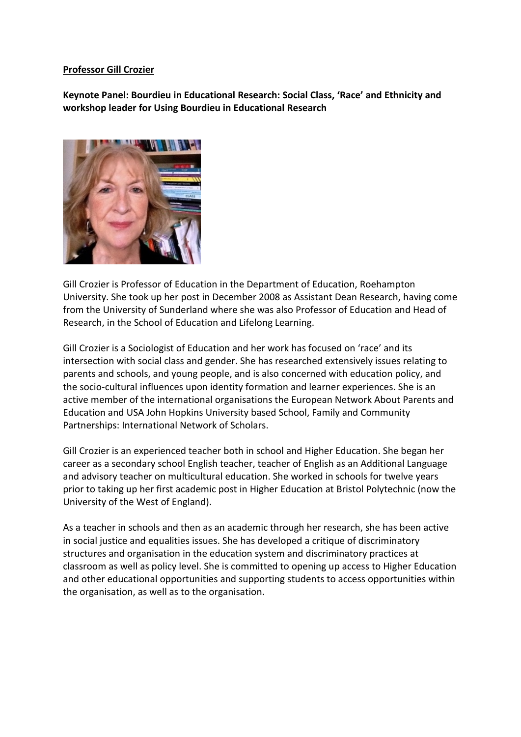#### **Professor Gill Crozier**

**Keynote Panel: Bourdieu in Educational Research: Social Class, 'Race' and Ethnicity and workshop leader for Using Bourdieu in Educational Research**



Gill Crozier is Professor of Education in the Department of Education, Roehampton University. She took up her post in December 2008 as Assistant Dean Research, having come from the University of Sunderland where she was also Professor of Education and Head of Research, in the School of Education and Lifelong Learning.

Gill Crozier is a Sociologist of Education and her work has focused on 'race' and its intersection with social class and gender. She has researched extensively issues relating to parents and schools, and young people, and is also concerned with education policy, and the socio-cultural influences upon identity formation and learner experiences. She is an active member of the international organisations the European Network About Parents and Education and USA John Hopkins University based School, Family and Community Partnerships: International Network of Scholars.

Gill Crozier is an experienced teacher both in school and Higher Education. She began her career as a secondary school English teacher, teacher of English as an Additional Language and advisory teacher on multicultural education. She worked in schools for twelve years prior to taking up her first academic post in Higher Education at Bristol Polytechnic (now the University of the West of England).

As a teacher in schools and then as an academic through her research, she has been active in social justice and equalities issues. She has developed a critique of discriminatory structures and organisation in the education system and discriminatory practices at classroom as well as policy level. She is committed to opening up access to Higher Education and other educational opportunities and supporting students to access opportunities within the organisation, as well as to the organisation.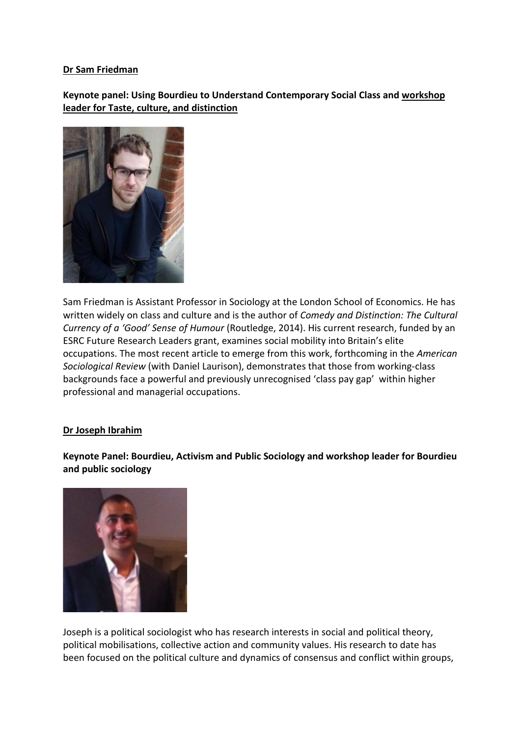#### **Dr Sam Friedman**

**Keynote panel: Using Bourdieu to Understand Contemporary Social Class and workshop leader for Taste, culture, and distinction**



Sam Friedman is Assistant Professor in Sociology at the London School of Economics. He has written widely on class and culture and is the author of *Comedy and Distinction: The Cultural Currency of a 'Good' Sense of Humour* (Routledge, 2014). His current research, funded by an ESRC Future Research Leaders grant, examines social mobility into Britain's elite occupations. The most recent article to emerge from this work, forthcoming in the *American Sociological Review* (with Daniel Laurison), demonstrates that those from working-class backgrounds face a powerful and previously unrecognised 'class pay gap' within higher professional and managerial occupations.

#### **Dr Joseph Ibrahim**

**Keynote Panel: Bourdieu, Activism and Public Sociology and workshop leader for Bourdieu and public sociology**



Joseph is a political sociologist who has research interests in social and political theory, political mobilisations, collective action and community values. His research to date has been focused on the political culture and dynamics of consensus and conflict within groups,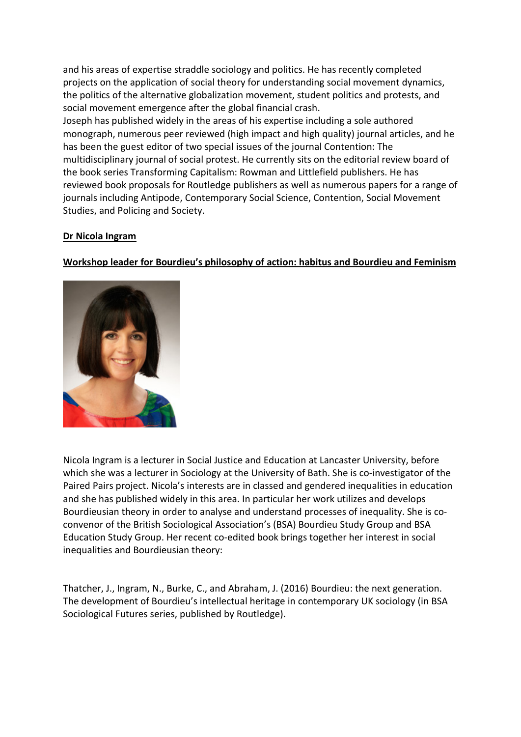and his areas of expertise straddle sociology and politics. He has recently completed projects on the application of social theory for understanding social movement dynamics, the politics of the alternative globalization movement, student politics and protests, and social movement emergence after the global financial crash.

Joseph has published widely in the areas of his expertise including a sole authored monograph, numerous peer reviewed (high impact and high quality) journal articles, and he has been the guest editor of two special issues of the journal Contention: The multidisciplinary journal of social protest. He currently sits on the editorial review board of the book series Transforming Capitalism: Rowman and Littlefield publishers. He has reviewed book proposals for Routledge publishers as well as numerous papers for a range of journals including Antipode, Contemporary Social Science, Contention, Social Movement Studies, and Policing and Society.

#### **Dr Nicola Ingram**

#### **Workshop leader for Bourdieu's philosophy of action: habitus and Bourdieu and Feminism**



Nicola Ingram is a lecturer in Social Justice and Education at Lancaster University, before which she was a lecturer in Sociology at the University of Bath. She is co-investigator of the Paired Pairs project. Nicola's interests are in classed and gendered inequalities in education and she has published widely in this area. In particular her work utilizes and develops Bourdieusian theory in order to analyse and understand processes of inequality. She is coconvenor of the British Sociological Association's (BSA) Bourdieu Study Group and BSA Education Study Group. Her recent co-edited book brings together her interest in social inequalities and Bourdieusian theory:

Thatcher, J., Ingram, N., Burke, C., and Abraham, J. (2016) Bourdieu: the next generation. The development of Bourdieu's intellectual heritage in contemporary UK sociology (in BSA Sociological Futures series, published by Routledge).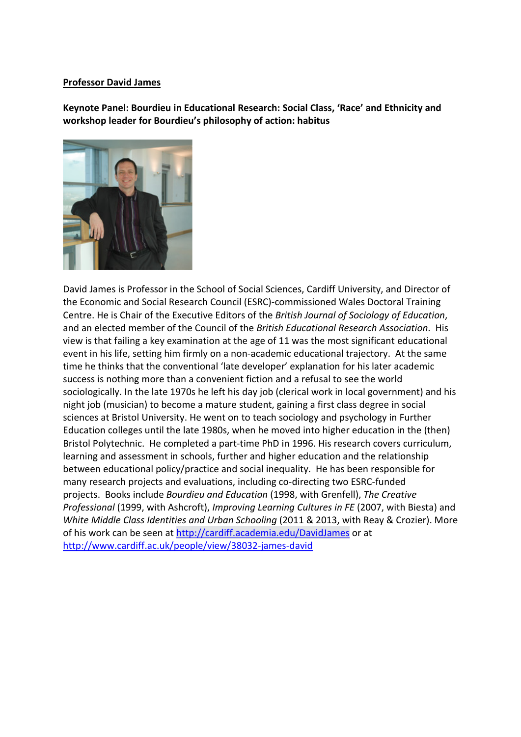#### **Professor David James**

**Keynote Panel: Bourdieu in Educational Research: Social Class, 'Race' and Ethnicity and workshop leader for Bourdieu's philosophy of action: habitus**



David James is Professor in the School of Social Sciences, Cardiff University, and Director of the Economic and Social Research Council (ESRC)-commissioned Wales Doctoral Training Centre. He is Chair of the Executive Editors of the *British Journal of Sociology of Education*, and an elected member of the Council of the *British Educational Research Association*. His view is that failing a key examination at the age of 11 was the most significant educational event in his life, setting him firmly on a non-academic educational trajectory. At the same time he thinks that the conventional 'late developer' explanation for his later academic success is nothing more than a convenient fiction and a refusal to see the world sociologically. In the late 1970s he left his day job (clerical work in local government) and his night job (musician) to become a mature student, gaining a first class degree in social sciences at Bristol University. He went on to teach sociology and psychology in Further Education colleges until the late 1980s, when he moved into higher education in the (then) Bristol Polytechnic. He completed a part-time PhD in 1996. His research covers curriculum, learning and assessment in schools, further and higher education and the relationship between educational policy/practice and social inequality. He has been responsible for many research projects and evaluations, including co-directing two ESRC-funded projects. Books include *Bourdieu and Education* (1998, with Grenfell), *The Creative Professional* (1999, with Ashcroft), *Improving Learning Cultures in FE* (2007, with Biesta) and *White Middle Class Identities and Urban Schooling* (2011 & 2013, with Reay & Crozier). More of his work can be seen at http://cardiff.academia.edu/DavidJames or at <http://www.cardiff.ac.uk/people/view/38032-james-david>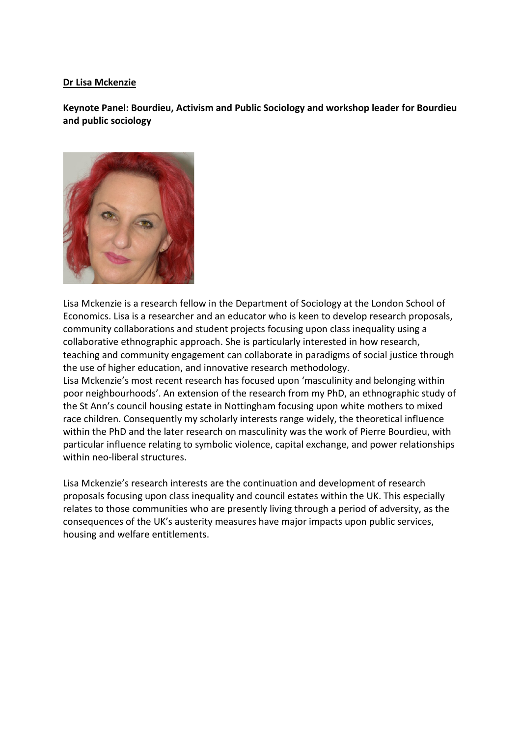#### **Dr Lisa Mckenzie**

**Keynote Panel: Bourdieu, Activism and Public Sociology and workshop leader for Bourdieu and public sociology**



Lisa Mckenzie is a research fellow in the Department of Sociology at the London School of Economics. Lisa is a researcher and an educator who is keen to develop research proposals, community collaborations and student projects focusing upon class inequality using a collaborative ethnographic approach. She is particularly interested in how research, teaching and community engagement can collaborate in paradigms of social justice through the use of higher education, and innovative research methodology. Lisa Mckenzie's most recent research has focused upon 'masculinity and belonging within

poor neighbourhoods'. An extension of the research from my PhD, an ethnographic study of the St Ann's council housing estate in Nottingham focusing upon white mothers to mixed race children. Consequently my scholarly interests range widely, the theoretical influence within the PhD and the later research on masculinity was the work of Pierre Bourdieu, with particular influence relating to symbolic violence, capital exchange, and power relationships within neo-liberal structures.

Lisa Mckenzie's research interests are the continuation and development of research proposals focusing upon class inequality and council estates within the UK. This especially relates to those communities who are presently living through a period of adversity, as the consequences of the UK's austerity measures have major impacts upon public services, housing and welfare entitlements.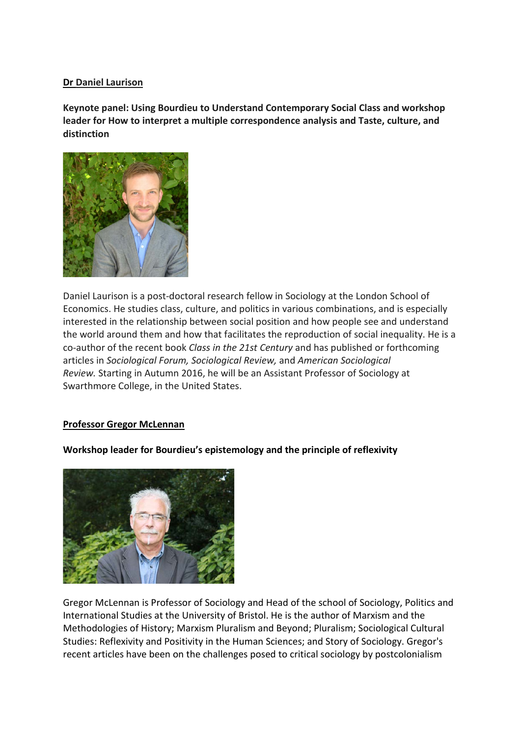#### **Dr Daniel Laurison**

**Keynote panel: Using Bourdieu to Understand Contemporary Social Class and workshop leader for How to interpret a multiple correspondence analysis and Taste, culture, and distinction**



Daniel Laurison is a post-doctoral research fellow in Sociology at the London School of Economics. He studies class, culture, and politics in various combinations, and is especially interested in the relationship between social position and how people see and understand the world around them and how that facilitates the reproduction of social inequality. He is a co-author of the recent book *Class in the 21st Century* and has published or forthcoming articles in *Sociological Forum, Sociological Review,* and *American Sociological Review.* Starting in Autumn 2016, he will be an Assistant Professor of Sociology at Swarthmore College, in the United States.

#### **Professor Gregor McLennan**

#### **Workshop leader for Bourdieu's epistemology and the principle of reflexivity**



Gregor McLennan is Professor of Sociology and Head of the school of Sociology, Politics and International Studies at the University of Bristol. He is the author of Marxism and the Methodologies of History; Marxism Pluralism and Beyond; Pluralism; Sociological Cultural Studies: Reflexivity and Positivity in the Human Sciences; and Story of Sociology. Gregor's recent articles have been on the challenges posed to critical sociology by postcolonialism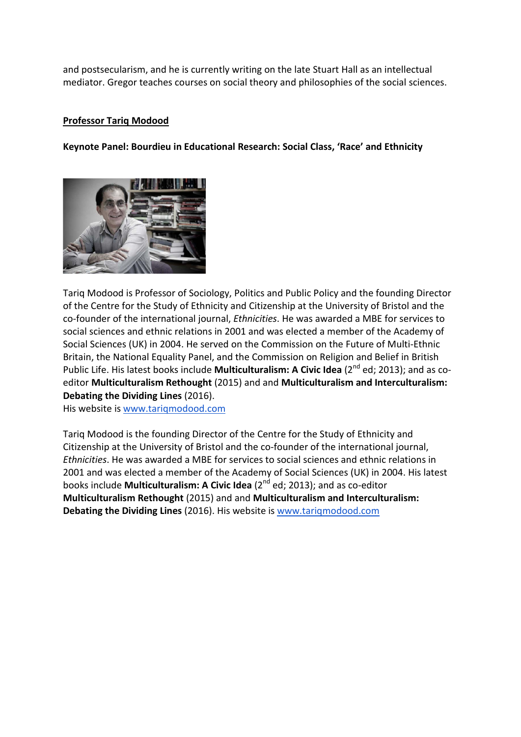and postsecularism, and he is currently writing on the late Stuart Hall as an intellectual mediator. Gregor teaches courses on social theory and philosophies of the social sciences.

#### **Professor Tariq Modood**

#### **Keynote Panel: Bourdieu in Educational Research: Social Class, 'Race' and Ethnicity**



Tariq Modood is Professor of Sociology, Politics and Public Policy and the founding Director of the Centre for the Study of Ethnicity and Citizenship at the University of Bristol and the co-founder of the international journal, *Ethnicities*. He was awarded a MBE for services to social sciences and ethnic relations in 2001 and was elected a member of the Academy of Social Sciences (UK) in 2004. He served on the Commission on the Future of Multi-Ethnic Britain, the National Equality Panel, and the Commission on Religion and Belief in British Public Life. His latest books include **Multiculturalism: A Civic Idea** (2<sup>nd</sup> ed; 2013); and as coeditor **Multiculturalism Rethought** (2015) and and **Multiculturalism and Interculturalism: Debating the Dividing Lines** (2016).

His website is [www.tariqmodood.com](http://www.tariqmodood.com/)

Tariq Modood is the founding Director of the Centre for the Study of Ethnicity and Citizenship at the University of Bristol and the co-founder of the international journal, *Ethnicities*. He was awarded a MBE for services to social sciences and ethnic relations in 2001 and was elected a member of the Academy of Social Sciences (UK) in 2004. His latest books include **Multiculturalism: A Civic Idea** (2<sup>nd</sup> ed; 2013); and as co-editor **Multiculturalism Rethought** (2015) and and **Multiculturalism and Interculturalism: Debating the Dividing Lines** (2016). His website is [www.tariqmodood.com](http://www.tariqmodood.com/)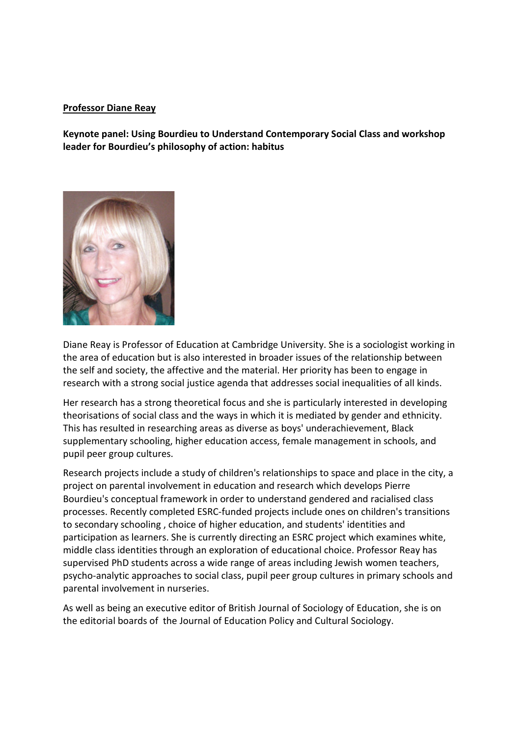#### **Professor Diane Reay**

**Keynote panel: Using Bourdieu to Understand Contemporary Social Class and workshop leader for Bourdieu's philosophy of action: habitus**



Diane Reay is Professor of Education at Cambridge University. She is a sociologist working in the area of education but is also interested in broader issues of the relationship between the self and society, the affective and the material. Her priority has been to engage in research with a strong social justice agenda that addresses social inequalities of all kinds.

Her research has a strong theoretical focus and she is particularly interested in developing theorisations of social class and the ways in which it is mediated by gender and ethnicity. This has resulted in researching areas as diverse as boys' underachievement, Black supplementary schooling, higher education access, female management in schools, and pupil peer group cultures.

Research projects include a study of children's relationships to space and place in the city, a project on parental involvement in education and research which develops Pierre Bourdieu's conceptual framework in order to understand gendered and racialised class processes. Recently completed ESRC-funded projects include ones on children's transitions to secondary schooling , choice of higher education, and students' identities and participation as learners. She is currently directing an ESRC project which examines white, middle class identities through an exploration of educational choice. Professor Reay has supervised PhD students across a wide range of areas including Jewish women teachers, psycho-analytic approaches to social class, pupil peer group cultures in primary schools and parental involvement in nurseries.

As well as being an executive editor of British Journal of Sociology of Education, she is on the editorial boards of the Journal of Education Policy and Cultural Sociology.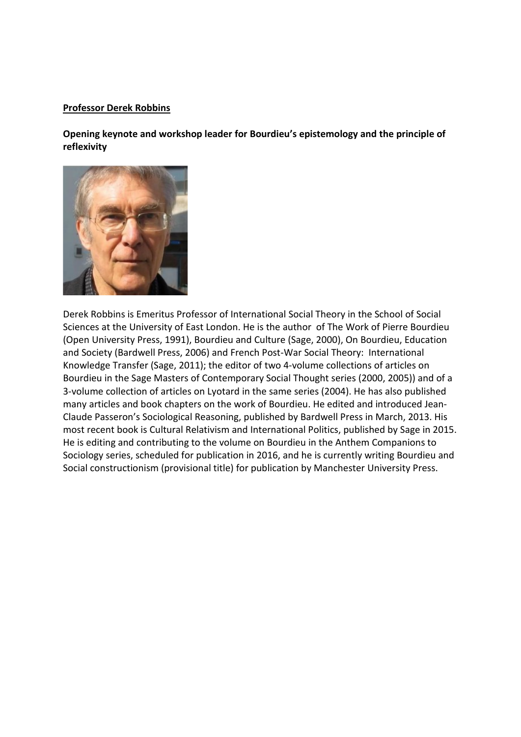#### **Professor Derek Robbins**

**Opening keynote and workshop leader for Bourdieu's epistemology and the principle of reflexivity**



Derek Robbins is Emeritus Professor of International Social Theory in the School of Social Sciences at the University of East London. He is the author of The Work of Pierre Bourdieu (Open University Press, 1991), Bourdieu and Culture (Sage, 2000), On Bourdieu, Education and Society (Bardwell Press, 2006) and French Post-War Social Theory: International Knowledge Transfer (Sage, 2011); the editor of two 4-volume collections of articles on Bourdieu in the Sage Masters of Contemporary Social Thought series (2000, 2005)) and of a 3-volume collection of articles on Lyotard in the same series (2004). He has also published many articles and book chapters on the work of Bourdieu. He edited and introduced Jean-Claude Passeron's Sociological Reasoning, published by Bardwell Press in March, 2013. His most recent book is Cultural Relativism and International Politics, published by Sage in 2015. He is editing and contributing to the volume on Bourdieu in the Anthem Companions to Sociology series, scheduled for publication in 2016, and he is currently writing Bourdieu and Social constructionism (provisional title) for publication by Manchester University Press.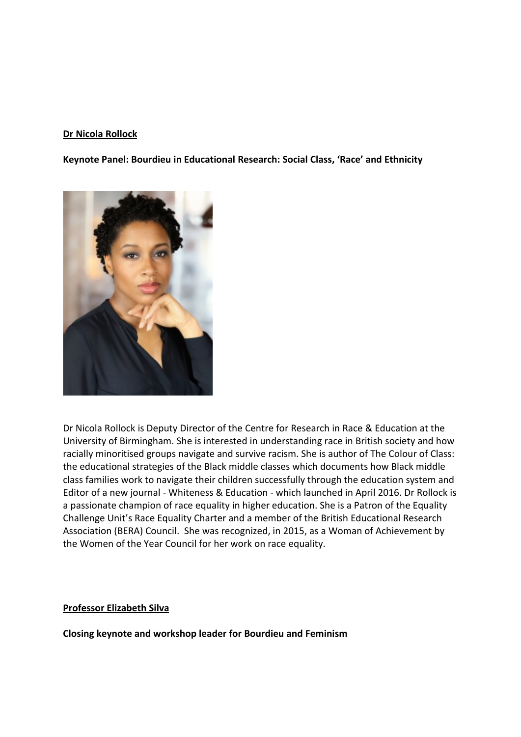#### **Dr Nicola Rollock**

**Keynote Panel: Bourdieu in Educational Research: Social Class, 'Race' and Ethnicity**



Dr Nicola Rollock is Deputy Director of the Centre for Research in Race & Education at the University of Birmingham. She is interested in understanding race in British society and how racially minoritised groups navigate and survive racism. She is author of The Colour of Class: the educational strategies of the Black middle classes which documents how Black middle class families work to navigate their children successfully through the education system and Editor of a new journal - Whiteness & Education - which launched in April 2016. Dr Rollock is a passionate champion of race equality in higher education. She is a Patron of the Equality Challenge Unit's Race Equality Charter and a member of the British Educational Research Association (BERA) Council. She was recognized, in 2015, as a Woman of Achievement by the Women of the Year Council for her work on race equality.

#### **Professor Elizabeth Silva**

**Closing keynote and workshop leader for Bourdieu and Feminism**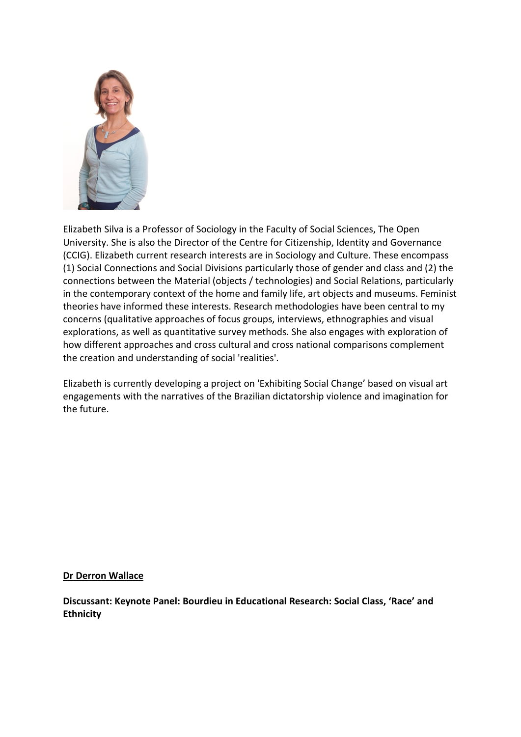

Elizabeth Silva is a Professor of Sociology in the Faculty of Social Sciences, The Open University. She is also the Director of the Centre for Citizenship, Identity and Governance (CCIG). Elizabeth current research interests are in Sociology and Culture. These encompass (1) Social Connections and Social Divisions particularly those of gender and class and (2) the connections between the Material (objects / technologies) and Social Relations, particularly in the contemporary context of the home and family life, art objects and museums. Feminist theories have informed these interests. Research methodologies have been central to my concerns (qualitative approaches of focus groups, interviews, ethnographies and visual explorations, as well as quantitative survey methods. She also engages with exploration of how different approaches and cross cultural and cross national comparisons complement the creation and understanding of social 'realities'.

Elizabeth is currently developing a project on 'Exhibiting Social Change' based on visual art engagements with the narratives of the Brazilian dictatorship violence and imagination for the future.

#### **Dr Derron Wallace**

**Discussant: Keynote Panel: Bourdieu in Educational Research: Social Class, 'Race' and Ethnicity**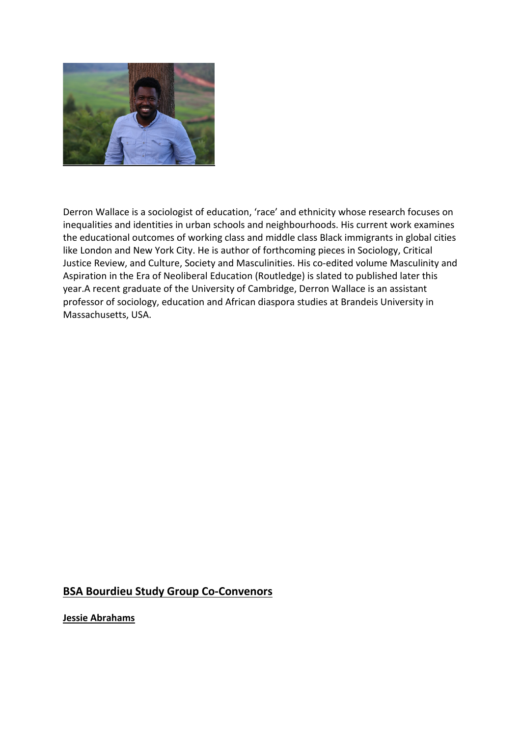

Derron Wallace is a sociologist of education, 'race' and ethnicity whose research focuses on inequalities and identities in urban schools and neighbourhoods. His current work examines the educational outcomes of working class and middle class Black immigrants in global cities like London and New York City. He is author of forthcoming pieces in Sociology, Critical Justice Review, and Culture, Society and Masculinities. His co-edited volume Masculinity and Aspiration in the Era of Neoliberal Education (Routledge) is slated to published later this year.A recent graduate of the University of Cambridge, Derron Wallace is an assistant professor of sociology, education and African diaspora studies at Brandeis University in Massachusetts, USA.

## **BSA Bourdieu Study Group Co-Convenors**

**Jessie Abrahams**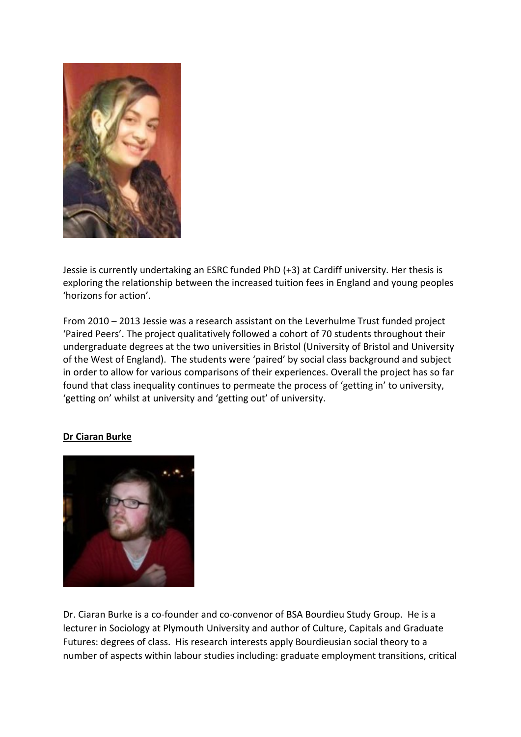

Jessie is currently undertaking an ESRC funded PhD (+3) at Cardiff university. Her thesis is exploring the relationship between the increased tuition fees in England and young peoples 'horizons for action'.

From 2010 – 2013 Jessie was a research assistant on the Leverhulme Trust funded project 'Paired Peers'. The project qualitatively followed a cohort of 70 students throughout their undergraduate degrees at the two universities in Bristol (University of Bristol and University of the West of England). The students were 'paired' by social class background and subject in order to allow for various comparisons of their experiences. Overall the project has so far found that class inequality continues to permeate the process of 'getting in' to university, 'getting on' whilst at university and 'getting out' of university.

#### **Dr Ciaran Burke**



Dr. Ciaran Burke is a co-founder and co-convenor of BSA Bourdieu Study Group. He is a lecturer in Sociology at Plymouth University and author of Culture, Capitals and Graduate Futures: degrees of class. His research interests apply Bourdieusian social theory to a number of aspects within labour studies including: graduate employment transitions, critical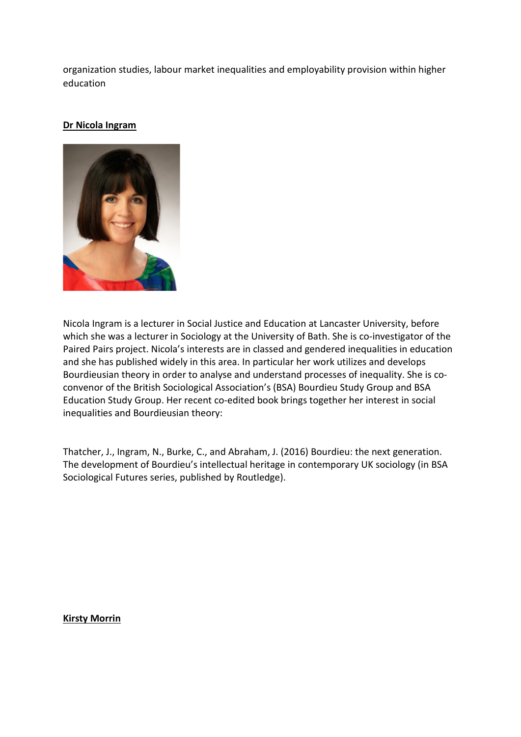organization studies, labour market inequalities and employability provision within higher education

#### **Dr Nicola Ingram**



Nicola Ingram is a lecturer in Social Justice and Education at Lancaster University, before which she was a lecturer in Sociology at the University of Bath. She is co-investigator of the Paired Pairs project. Nicola's interests are in classed and gendered inequalities in education and she has published widely in this area. In particular her work utilizes and develops Bourdieusian theory in order to analyse and understand processes of inequality. She is coconvenor of the British Sociological Association's (BSA) Bourdieu Study Group and BSA Education Study Group. Her recent co-edited book brings together her interest in social inequalities and Bourdieusian theory:

Thatcher, J., Ingram, N., Burke, C., and Abraham, J. (2016) Bourdieu: the next generation. The development of Bourdieu's intellectual heritage in contemporary UK sociology (in BSA Sociological Futures series, published by Routledge).

#### **Kirsty Morrin**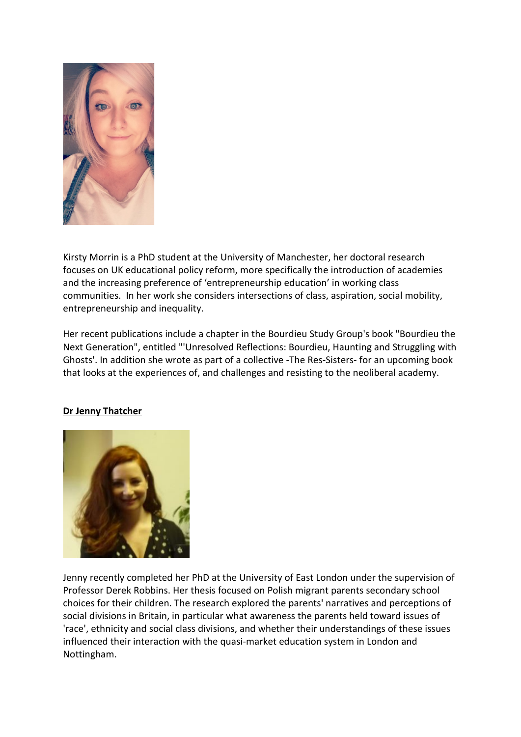

Kirsty Morrin is a PhD student at the University of Manchester, her doctoral research focuses on UK educational policy reform, more specifically the introduction of academies and the increasing preference of 'entrepreneurship education' in working class communities. In her work she considers intersections of class, aspiration, social mobility, entrepreneurship and inequality.

Her recent publications include a chapter in the Bourdieu Study Group's book "Bourdieu the Next Generation", entitled "'Unresolved Reflections: Bourdieu, Haunting and Struggling with Ghosts'. In addition she wrote as part of a collective -The Res-Sisters- for an upcoming book that looks at the experiences of, and challenges and resisting to the neoliberal academy.

#### **Dr Jenny Thatcher**



Jenny recently completed her PhD at the University of East London under the supervision of Professor Derek Robbins. Her thesis focused on Polish migrant parents secondary school choices for their children. The research explored the parents' narratives and perceptions of social divisions in Britain, in particular what awareness the parents held toward issues of 'race', ethnicity and social class divisions, and whether their understandings of these issues influenced their interaction with the quasi-market education system in London and Nottingham.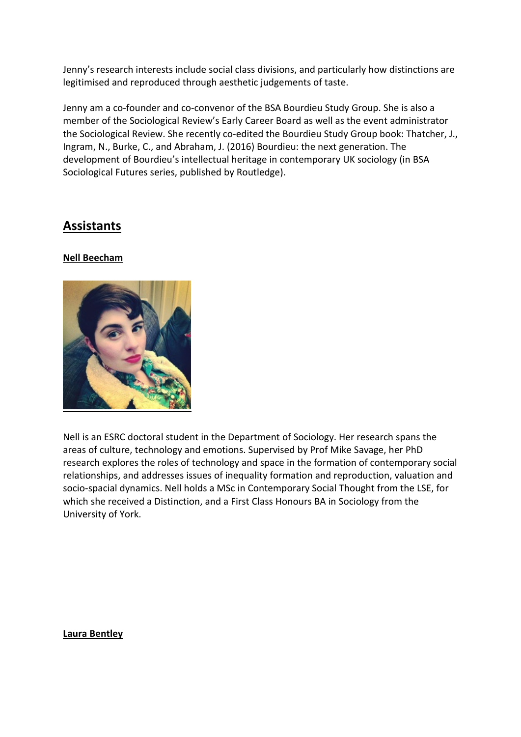Jenny's research interests include social class divisions, and particularly how distinctions are legitimised and reproduced through aesthetic judgements of taste.

Jenny am a co-founder and co-convenor of the BSA Bourdieu Study Group. She is also a member of the Sociological Review's Early Career Board as well as the event administrator the Sociological Review. She recently co-edited the Bourdieu Study Group book: Thatcher, J., Ingram, N., Burke, C., and Abraham, J. (2016) Bourdieu: the next generation. The development of Bourdieu's intellectual heritage in contemporary UK sociology (in BSA Sociological Futures series, published by Routledge).

# **Assistants**

#### **Nell Beecham**



Nell is an ESRC doctoral student in the Department of Sociology. Her research spans the areas of culture, technology and emotions. Supervised by Prof Mike Savage, her PhD research explores the roles of technology and space in the formation of contemporary social relationships, and addresses issues of inequality formation and reproduction, valuation and socio-spacial dynamics. Nell holds a MSc in Contemporary Social Thought from the LSE, for which she received a Distinction, and a First Class Honours BA in Sociology from the University of York.

**Laura Bentley**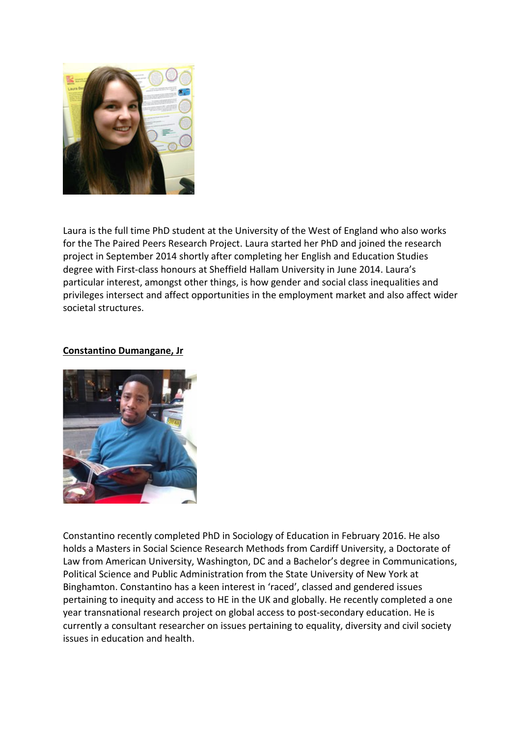

Laura is the full time PhD student at the University of the West of England who also works for the The Paired Peers Research Project. Laura started her PhD and joined the research project in September 2014 shortly after completing her English and Education Studies degree with First-class honours at Sheffield Hallam University in June 2014. Laura's particular interest, amongst other things, is how gender and social class inequalities and privileges intersect and affect opportunities in the employment market and also affect wider societal structures.

#### **Constantino Dumangane, Jr**



Constantino recently completed PhD in Sociology of Education in February 2016. He also holds a Masters in Social Science Research Methods from Cardiff University, a Doctorate of Law from American University, Washington, DC and a Bachelor's degree in Communications, Political Science and Public Administration from the State University of New York at Binghamton. Constantino has a keen interest in 'raced', classed and gendered issues pertaining to inequity and access to HE in the UK and globally. He recently completed a one year transnational research project on global access to post-secondary education. He is currently a consultant researcher on issues pertaining to equality, diversity and civil society issues in education and health.